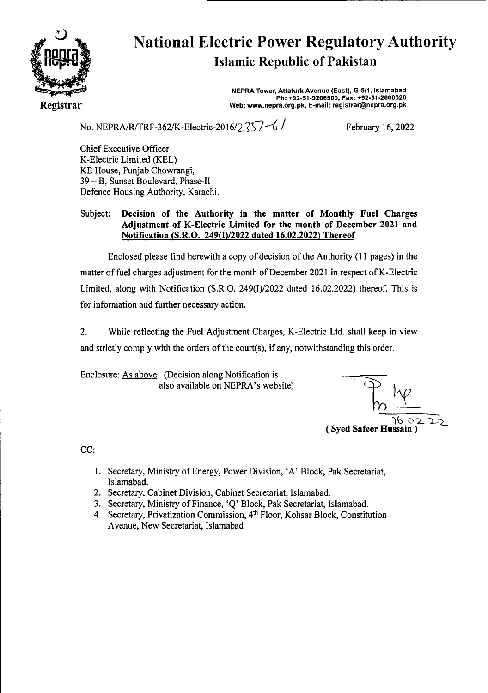

# National Electric Power Regulatory Authority Islamic Republic of Pakistan

**NEPRA Tower, Attaturk Avenue (East), G-511, Islamabad Ph: +92-51-9206500. Fax: +92-51-2600026 Web: www.nepra.org.pk, E-mail: registrar@nepra.org.pk** 

No. NEPRA/R/TRF-362/K-Electric-2016/2 $\frac{357-6}{ }$  February 16, 2022

Chief Executive Officer K-Electric Limited (KEL) KE House, Punjab Chowrangi, 39 — B, Sunset Boulevard, Phase-TI Defence Housing Authority, Karachi.

### Subject: **Decision of the Authority in the matter of Monthly Fuel Charges Adjustment of** K-Electric Limited for the month of December 2021 and Notification (S.R.O. 249(I)/2022 dated 16.02.2022) Thereof

Enclosed please find herewith a copy of decision of the Authority (11 pages) in the matter of fuel charges adjustment for the month of December 2021 in respect of K-Electric Limited, along with Notification (S.R.O. 249(J)/2022 dated 16.02.2022) thereof. This is for information and further necessary action.

2. While reflecting the Fuel Adjustment Charges, K-Electric Ltd. shall keep in view and strictly comply with the orders of the court(s), if any, notwithstanding this order.

Enclosure: As above (Decision along Notification is also available on NEPRA's website)

 $\gamma$  $16$  o **(Syed Safeer Hussain)** 

CC:

- 1. Secretary, Ministry of Energy, Power Division, 'A' Block, Pak Secretariat, Islamabad.
- 2. Secretary, Cabinet Division, Cabinet Secretariat, Islamabad.
- 3. Secretary, Ministry of Finance, 'Q' Block, Pak Secretariat, Islamabad.
- 4. Secretary, Privatization Commission, 4<sup>th</sup> Floor, Kohsar Block, Constitution Avenue, New Secretariat, Islamabad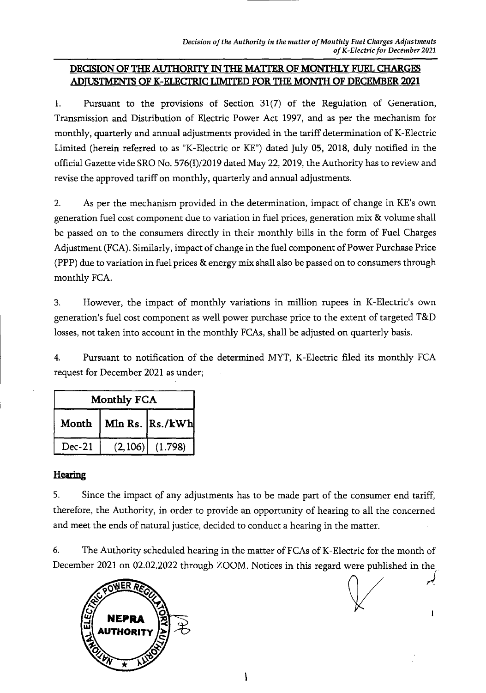# **DECISION OF THE AUTHORiTY IN THE MAITER OF MONTHLY FUEL CHARGES ADJUSTMEN OF K-ELECFRIC LIMITED FOR THE MONTH OF DECEMBER 2021**

1. Pursuant to the provisions of Section 31(7) of the Regulation of Generation, Transmission and Distribution of Electric Power Act 1997, and as per the mechanism for monthly, quarterly and annual adjustments provided in the tariff determination of K-Electric Limited (herein referred to as "K-Electric or KE") dated July 05, 2018, duly notified in the official Gazette vide SRO No. 576(I)/2019 dated May 22, 2019, the Authority has to review and revise the approved tariff on monthly, quarterly and annual adjustments.

2. As per the mechanism provided in the determination, impact of change in KE's own generation fuel cost component due to variation in fuel prices, generation mix & volume shall be passed on to the consumers directly in their monthly bills in the form of Fuel Charges Adjustment (FCA). Similarly, impact of change in the fuel component of Power Purchase Price (PPP) due to variation in fuel prices & energy mix shall also be passed on to consumers through monthly FCA.

3. However, the impact of monthly variations in million rupees in K-Electric's own generation's fuel cost component as well power purchase price to the extent of targeted T&D losses, not taken into account in the monthly FCAs, shall be adjusted on quarterly basis.

4. Pursuant to notification of the determined MYT, K-Electric filed its monthly FCA request for December 2021 as under;

| Monthly FCA |                  |                     |
|-------------|------------------|---------------------|
| Month       | Mln Rs.  Rs./kWh |                     |
| $Dec-21$    |                  | $(2,106)$ $(1.798)$ |

# **Hearing**

5. Since the impact of any adjustments has to be made part of the consumer end tariff, therefore, the Authority, in order to provide an opportunity of hearing to all the concerned and meet the ends of natural justice, decided to conduct a hearing in the matter.

6. The Authority scheduled hearing in the matter of FCAs of K-Electric for the month of December 2021 on 02.02.2022 through ZOOM. Notices in this regard were published in the



 $\mathbf{1}$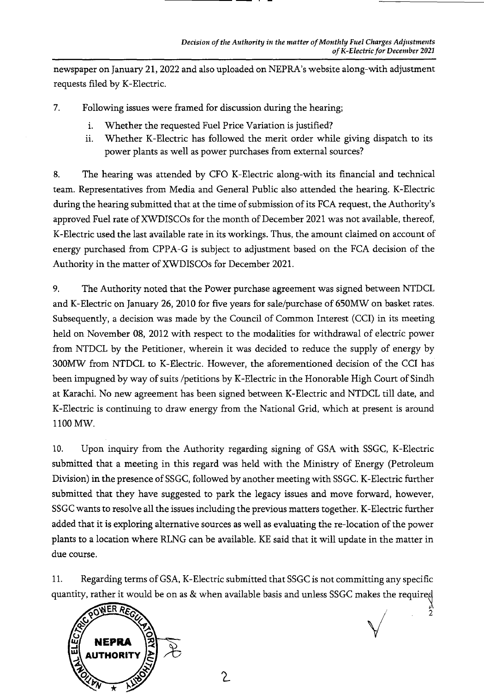newspaper on January 21, 2022 and also uploaded on NEPRA's website along-with adjustment requests filed by K-Electric.

- 7. Following issues were framed for discussion during the hearing;
	- i. 'Whether the requested Fuel Price Variation is justified?
	- ii. Whether K-Electric has followed the merit order while giving dispatch to its power plants as well as power purchases from external sources?

8. The hearing was attended by CFO K-Electric along-with its financial and technical team. Representatives from Media and General Public also attended the hearing. K-Electric during the hearing submitted that at the time of submission of its FCA request, the Authority's approved Fuel rate of XWDISCQs for the month of December 2021 was not available, thereof, K-Electric used the last available rate in its workings. Thus, the amount claimed on account of energy purchased from CPPA-G is subject to adjustment based on the FCA decision of the Authority in the matter of XWDISCOs for December 2021.

9. The Authority noted that the Power purchase agreement was signed between NTDCL and K-Electric on January 26, 2010 for five years for sale/purchase of 650MW on basket rates. Subsequently, a decision was made by the Council of Common Interest (CCI) in its meeting held on November 08, 2012 with respect to the modalities for withdrawal of electric power from NTDCL by the Petitioner, wherein it was decided to reduce the supply of energy by 300MW from NTDCL to K-Electric. However, the aforementioned decision of the CCI has been impugned by way of suits /petitions by K-Electric in the Honorable High Court of Sindh at Karachi. No new agreement has been signed between K-Electric and NTDCL till date, and K-Electric is continuing to draw energy from the National Grid, which at present is around 1100 MW.

10. Upon inquiry from the Authority regarding signing of GSA with SSGC, K-Electric submitted that a meeting in this regard was held with the Ministry of Energy (Petroleum Division) in the presence of SSGC, followed by another meeting with SSGC. K-Electric further submitted that they have suggested to park the legacy issues and move forward, however, SSGC wants to resolve all the issues including the previous matters together. K-Electric further added that it is exploring alternative sources as well as evaluating the re-location of the power plants to a location where RLNG can be available. KE said that it will update in the matter in due course.

11. Regarding terms of GSA, K-Electric submitted that SSGC is not committing any specific quantity, rather it would be on as & when available basis and unless SSGC makes the required

 $\sqrt{}$ 

 $\frac{2}{2}$ 

 $\mathcal{L}% _{M_{1},M_{2}}^{\alpha,\beta}(\varepsilon)=\mathcal{L}_{M_{1},M_{2}}^{\alpha,\beta}(\varepsilon)$ 

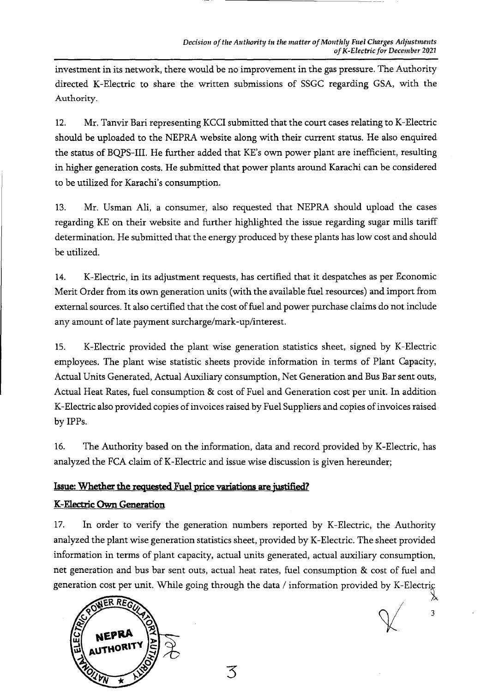investment in its network, there would be no improvement in the gas pressure. The Authority directed K-Electric to share the written submissions of SSGC regarding GSA, with the *Authority.* 

12. Mr. Tanvir Bari representing KCCI submitted that the court cases relating to K-Electric should be uploaded to the NEPRA website along with their current status. He also enquired the status of BQPS-III. He further added that KE's own power plant are inefficient, resulting in higher generation costs. He submitted that power plants around Karachi can be considered to be utilized for Karachi's consumption.

13. Mr. Usman Ali, a consumer, also requested that NEPRA should upload the cases regarding KE on their website and further highlighted the issue regarding sugar mills tariff determination. He submitted that the energy produced by these plants has low cost and should be utilized.

14. K-Electric, in its adjustment requests, has certified that it despatches as per Economic Merit Order from its own generation units (with the available fuel resources) and import from external sources. It also certified that the cost of fuel and power purchase claims do not include any amount of late payment surcharge/mark-up/interest.

15. K-Electric provided the plant wise generation statistics sheet, signed by K-Electric employees. The plant wise statistic sheets provide information in terms of Plant Capacity, Actual Units Generated, Actual Auxiliary consumption, Net Generation and Bus Bar sent outs, Actual Heat Rates, fuel consumption & cost of Fuel and Generation cost per unit. In addition K-Electric also provided copies of invoices raised by Fuel Suppliers and copies of invoices raised by IPPs.

16. The Authority based on the information, data and record provided by K-Electric, has analyzed the FCA claim of K-Electric and issue wise discussion is given hereunder;

# **Issue: Whether the requested** Fuel price variations are justified?

# K-Electric Own Generation

17. In order to verify the generation numbers reported by K-Electric, the Authority analyzed the plant wise generation statistics sheet, provided by K-Electric. The sheet provided information in terms of plant capacity, actual units generated, actual auxiliary consumption, net generation and bus bar sent outs, actual heat rates, fuel consumption & cost of fuel and generation cost per unit. While going through the data / information provided by K-Electric

3



*3*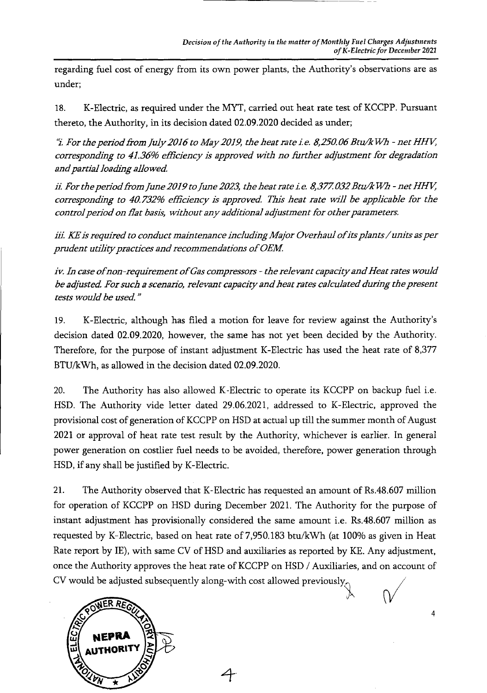regarding fuel cost of energy from its own power plants, the Authority's observations are as under;

18. K-Electric, as required under the MYT, carried out heat rate test of KCCPP. Pursuant thereto, the Authority, in its decision dated 02.09.2020 decided as under;

*L For the period from July2016 to May2019, the heat rate i.e. 8,250.06 Btu/k W7i - net HHV*  corresponding to 41.36% efficiency is approved with no further adjustment for degradation *and partial loading allowed* 

*ii. For the period from June 2019 to June 2023, the heat rate i.e. 8,377.032 Btu/kWh - net HHV,* corresponding to 40.732% efficiency is approved. This heat rate will be applicable for the control period on flat basis, without any additional adjustment for other parameters.

*iii ICEis required to conduct maintenance including Major Overhaul ofits plants/units as per prudent utility pra ctices and recommendations of OEM* 

*iv. In case ofnon-requirement of Gas compressors - the relevant capacity and Heat rates would*  be adjusted. For such a scenario, relevant capacity and heat rates calculated during the present *tests would be used"* 

19. K-Electric, although has filed a motion for leave for review against the Authority's decision dated 02.09.2020, however, the same has not yet been decided by the Authority. Therefore, for the purpose of instant adjustment K-Electric has used the heat rate of 8,377 BTU/kWh, as allowed in the decision dated 02.09.2020.

20. The Authority has also allowed K-Electric to operate its KCCPP on backup fuel i.e. HSD. The Authority vide letter dated 29.06.2021, addressed to K-Electric, approved the provisional cost of generation of KCCPP on HSD at actual up till the summer month of August 2021 or approval of heat rate test result by the Authority, whichever is earlier. In general power generation on costlier fuel needs to be avoided, therefore, power generation through HSD, if any shall be justified by K-Electric.

21. The Authority observed that K-Electric has requested an amount of Rs.48.607 million for operation of KCCPP on HSD during December 2021. The Authority for the purpose of instant adjustment has provisionally considered the same amount i.e. Rs.48.607 million as requested by K-Electric, based on heat rate of 7,950.183 btu/kWh (at 100% as given in Heat Rate report by IE), with same CV of HSD and auxiliaries as reported by KE. Any adjustment, once the Authority approves the heat rate of KCCPP on HSD / Auxiliaries, and on account of CV would be adjusted subsequently along-with cost allowed previously,



*4*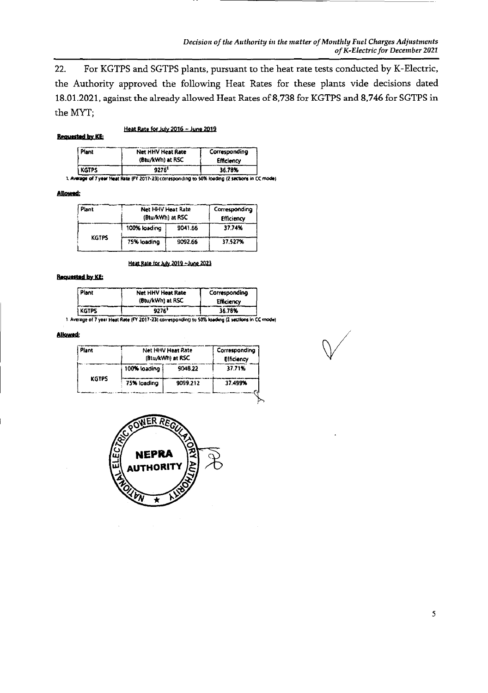*Decision of the Authority in the matter of Monthly Fuel Charges Adjustments of K-Electric for December 2021* 

22. For KGTPS and SGTPS plants, pursuant to the heat rate tests conducted by K-Electric, the Authority approved the following Heat Rates for these plants vide decisions dated 18.01.2021, against the already allowed Heat Rates of 8,738 for KGTPS and 8,746 for SGTPS in the MYT;

≻

#### **Requested by KE:**

Heat Rate for July2016— June 2019

| Plant | Net HHV Heat Rate | Corresponding |
|-------|-------------------|---------------|
|       | (Btu/kWh) at RSC  | Efficiency    |
| KGTPS | 9276'             | 36.70%        |

**1. Ave of** *1y.,* Heat *gait tFY* **201 1.23f** corresponding to **t0% loading (2 sectors** in **CCn'odt** 

Aflowath

| Plant        | Net HHV Heat Rate<br>(Btu/kWh) at RSC |         | Corresponding<br>Efficiency |
|--------------|---------------------------------------|---------|-----------------------------|
|              | 100% loading                          | 9041.66 | 37.74%                      |
| <b>KGTPS</b> | 75% loading                           | 9092.66 | 37.527%                     |

*tiL.Zte tr* July 2019 -Jo.2QZ3

#### **Requested by KE:**

| Plant        | <b>Net HHV Heat Rate</b><br>(Btu/kWh) at RSC | Corresponding<br>Efficiency |  |
|--------------|----------------------------------------------|-----------------------------|--|
| <b>KGTPS</b> | 9276'                                        | 36.78%                      |  |

Averags of 7 year **Heat Rate** *(cv* **2O1723l** corrusponc\$ntl to 50% Ioedng (2 sacttons I CC **modal** 

#### Allowed:

| Plant        |              | Net HHV Heat Rate<br>(Btu/kWh) at RSC |         |
|--------------|--------------|---------------------------------------|---------|
|              | 100% loading | 9048.22                               | 37.71%  |
| <b>KGTPS</b> | 75% loading  | 9099.212                              | 37.499% |
|              |              |                                       |         |



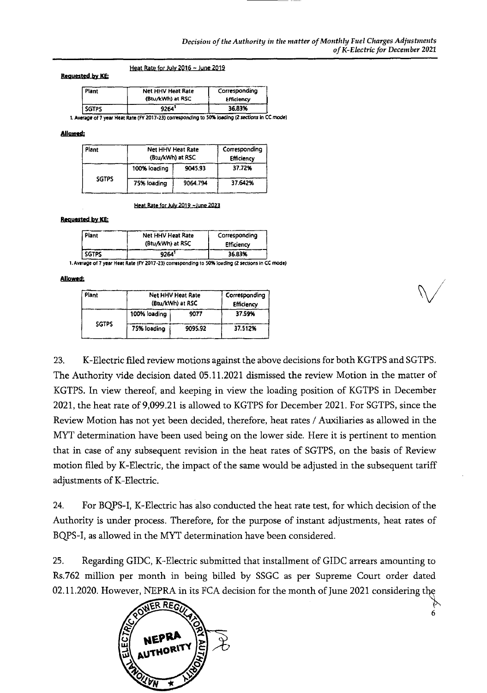### Heat Rate for July 2016 ~ June 2019

### Requested *by* KE

| Plant        | Net HHV Heat Rate | Corresponding |
|--------------|-------------------|---------------|
|              | (Btu/kWh) at RSC  | Efficiency    |
| <b>SGTPS</b> | 9264'             | 36.83%        |

1. Average of 7 year Heat Rate (FY 2017-23) corresponding to 50% loading (2 sections in CC mode)

#### *Mlow.d:*

| Plant        | Net HHV Heat Rate<br>(Btu/kWh) at RSC |          | Corresponding<br><b>Efficiency</b> |
|--------------|---------------------------------------|----------|------------------------------------|
|              | 100% loading                          | 9045.93  | 37.72%                             |
| <b>SGTPS</b> | 75% loading                           | 9064.794 | 37.642%                            |

#### Heat Rate for July 2019 - June 2023

### Requested by KE;

| Plant        | Net HHV Heat Rate | Corresponding     |
|--------------|-------------------|-------------------|
|              | (Btu/kWh) at RSC  | <b>Efficiency</b> |
| <b>SGTPS</b> | 9264'             | 36.83%            |

1. Average of 7 year Heat Rate (FY 2017-23) corresponding to 50% loading (2 sections in CC mode)

### Allowed:

| Plant        | Net HHV Heat Rate<br>(Btu/kWh) at RSC |         | Corresponding<br><b>Efficiency</b> |
|--------------|---------------------------------------|---------|------------------------------------|
|              | 100% loading                          | 9077    | 37.59%                             |
| <b>SGTPS</b> | 75% loading                           | 9095.92 | 37.512%                            |

23. K-Electric filed review motions against the above decisions for both KGTPS and SGTPS. The Authority vide decision dated 05.11.2021 dismissed the review Motion in the matter of KGTPS. In view thereof, and keeping in view the loading position of KGTPS in December 2021, the heat rate of 9,099.21 is allowed to KGTPS for December 2021. For SGTPS, since the Review Motion has not yet been decided, therefore, heat rates / Auxiliaries as allowed in the MYT determination have been used being on the lower side. Here it is pertinent to mention that in case of any subsequent revision in the heat rates of SGTPS, on the basis of Review motion filed by K-Electric, the impact of the same would be adjusted in the subsequent tariff adjustments of K-Electric.

24. For BQPS-I, K-Electric has also conducted the heat rate test, for which decision of the Authority is under process. Therefore, for the purpose of instant adjustments, heat rates of BQPS-I, as allowed in the MYT determination have been considered.

25. Regarding GIDC, K--Electric submitted that installment of GIDC arrears amounting to Rs.762 million per month in being billed by SSGC as per Supreme Court order dated 02.11.2020. However, NEPRA in its FCA decision for the month of June 2021 considering the



6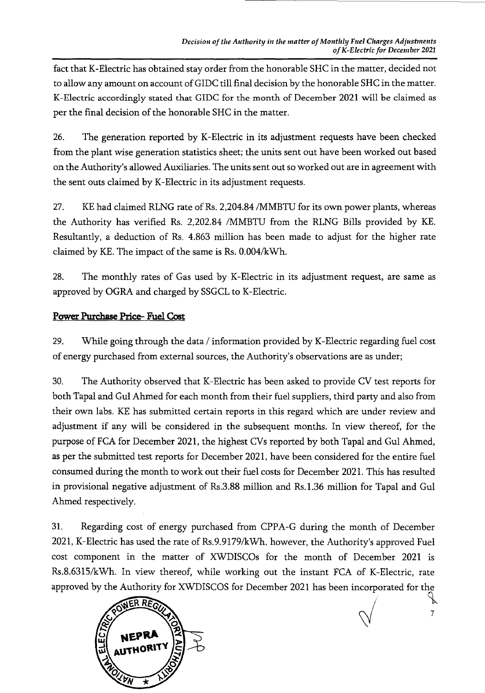fact that K-Electric has obtained stay order from the honorable SHC in the matter, decided not to allow any amount on account of GIDC till final decision by the honorable SHC in the matter. K-Electric accordingly stated that GIDC for the month of December 2021 will be claimed as per the final decision of the honorable SHC in the matter.

26. The generation reported by K-Electric in its adjustment requests have been checked from the plant wise generation statistics sheet; the units sent out have been worked out based on the Authority's allowed Auxiliaries. The units sent out so worked out are in agreement with the sent outs claimed by K-Electric in its adjustment requests.

27. KE had claimed RLNG rate of Rs. 2,204.84 /MMBTU for its own power plants, whereas the Authority has verified Rs. 2,202.84 /MMBTU from the RLNG Bills provided by KE. Resultantly, a deduction of Rs. 4.863 million has been made to adjust for the higher rate claimed by KE. The impact of the same is Rs. 0.004/kWh.

28. The monthly rates of Gas used by K-Electric in its adjustment request, are same as approved by OGRA and charged by SSGCL to K-Electric.

# Power Purchase Price- Fuel Cost

29. While going through the data / information provided by K-Electric regarding fuel cost of energy purchased from external sources, the Authority's observations are as under;

30. The Authority observed that K-Electric has been asked to provide CV test reports fbr both Tapal and Gul Ahmed for each month from their fuel suppliers, third party and also from their own labs. KE has submitted certain reports in this regard which are under review and adjustment if any will be considered in the subsequent months. In view thereof, for the purpose of FCA for December 2021, the highest CVs reported by both Tapal and Gul Ahmed, as per the submitted test reports for December 2021, have been considered for the entire fuel consumed during the month to work out their fuel costs for December 2021. This has resulted in provisional negative adjustment of Rs,3.88 million and Rs. 1.36 million for Tapal and Gul Ahmed respectively.

31. Regarding cost of energy purchased from CPPA-G during the month of December 2021, K-Electric has used the rate of Rs.9.9179/kWh, however, the Authority's approved Fuel cost component in the matter of XWDISCOs for the month of December 2021 is Rs.8.6315/kWh. In view thereof, while working out the instant FCA of K-Electric, rate approved by the Authority for XWDISCOS for December 2021 has been incorporated for the



*7*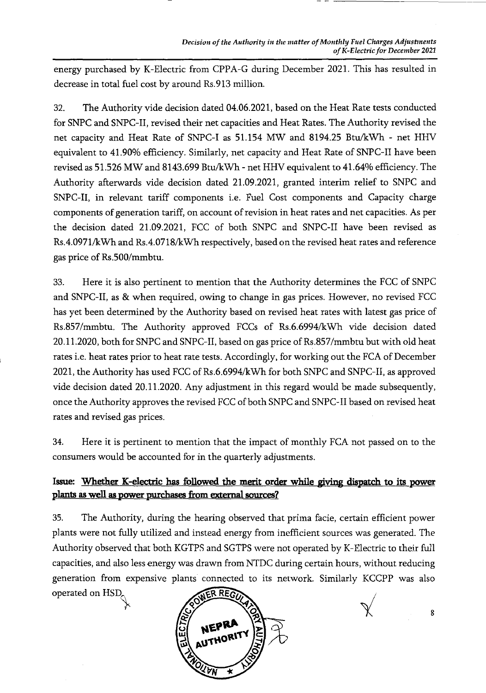energy purchased by K-Electric from CPPA-G during December 2021. This has resulted in decrease in total fuel cost by around Rs.913 million.

32. The Authority vide decision dated 04.06.2021, based on the Heat Rate tests conducted for SNPC and SNPC-II, revised their net capacities and Heat Rates. The Authority revised the net capacity and Heat Rate of SNPC-I as 51.154 MW and 8194.25 Btu/kWh - net HHV equivalent to 41.90% efficiency. Similarly, net capacity and Heat Rate of SNPC-II have been revised as 51.526 MW and 8143.699 Btu/kWh - net HHV equivalent to 41.64% efficiency. The Authority afterwards vide decision dated 21.09.2021, granted interim relief to SNPC and SNPC-II, in relevant tariff components i.e. Fuel Cost components and Capacity charge components of generation tariff, on account of revision in heat rates and net capacities. As per the decision dated 21.09.2021, FCC of both SNPC and SNPC-II have been revised as Rs.4.0971/kWh and Rs.4.0718/kWh respectively, based on the revised heat rates and reference gas price of Rs.500/mmbtu.

33. Here it is also pertinent to mention that the Authority determines the FCC of SNPC and SNPC-II, as & when required, owing to change in gas prices. However, no revised FCC has yet been determined by the Authority based on revised heat rates with latest gas price of Rs.857/mmbtu. The Authority approved FCCs of Rs.6.6994/kWh vide decision dated 20.11.2020, both for SNPC and SNPC-II, based on gas price of Rs.857/mmbtu but with old heat rates i.e. heat rates prior to heat rate tests. Accordingly, for working out the FCA of December 2021, the Authority has used FCC of Rs.6.6994/kWh for both SNPC and SNPC-II, as approved vide decision dated 20.11.2020. Any adjustment in this regard would be made subsequently, once the Authority approves the revised FCC of both SNPC and SNPC-II based on revised heat rates and revised gas prices.

34. Here it is pertinent to mention that the impact of monthly FCA not passed on to the consumers would be accounted for in the quarterly adjustments.

# Issue: Whether K-electric has **followed the merit order while giving dispatch to** its power plants as **well as power purchases from external sources?**

35. The Authority, during the hearing observed that prima facie, certain efficient power plants were not fully utilized and instead energy from inefficient sources was generated. The Authority observed that both KGTPS and SGTPS were not operated by K-Electric to their full capacities, and also less energy was drawn from NTDC during certain hours, without reducing generation from expensive plants connected to its network. Similarly KCCPP was also operated on HSD<sub>c</sub>

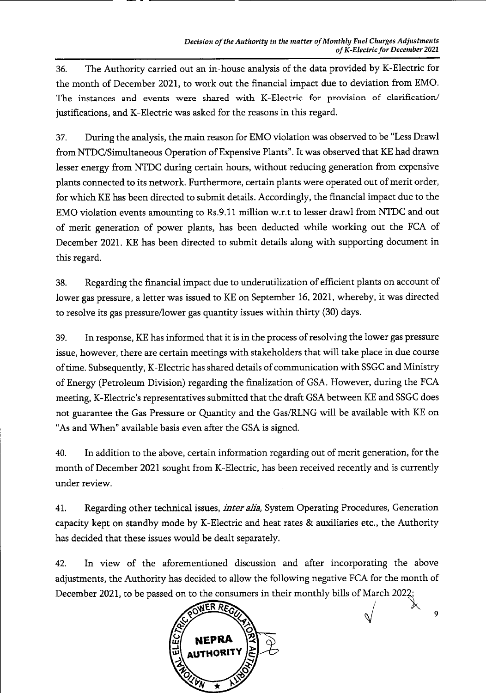36. The Authority carried out an in-house analysis of the data provided by K-Electric for the month of December 2021, to work out the financial impact due to deviation from EMO. The instances and events were shared with K-Electric for provision of clarification/ justifications, and K-Electric was asked for the reasons in this regard.

37. During the analysis, the main reason for EMO violation was observed to be "Less Drawl from NTDC/Simultaneous Operation of Expensive Plants". It was observed that KE had drawn lesser energy from NTDC during certain hours, without reducing generation from expensive plants connected to its network. Furthermore, certain plants were operated out of merit order, for which KE has been directed to submit details. Accordingly, the financial impact due to the EMO violation events amounting to Rs.9. 11 million w.r.t to lesser drawl from NTDC and out of merit generation of power plants, has been deducted while working out the FCA of December 2021. KE has been directed to submit details along with supporting document in this regard.

38. Regarding the financial impact due to underutilization of efficient plants on account of lower gas pressure, a letter was issued to KE on September 16, 2021, whereby, it was directed to resolve its gas pressure/lower gas quantity issues within thirty (30) days.

39. In response, KE has informed that it is in the process of resolving the lower gas pressure issue, however, there are certain meetings with stakeholders that will take place in due course of time. Subsequently, K-Electric has shared details of communication with SSGC and Ministry of Energy (Petroleum Division) regarding the finalization of GSA. However, during the FCA meeting, K-Electric's representatives submitted that the draft GSA between KE and SSGC does not guarantee the Gas Pressure or Quantity and the Gas/RLNG will be available with KE on "As and When" available basis even after the GSA is signed.

40. In addition to the above, certain information regarding out of merit generation, for the month of December 2021 sought from K-Electric, has been received recently and is currently under review.

41. Regarding other technical issues, *inter alia,* System Operating Procedures, Generation capacity kept on standby mode by K-Electric and heat rates & auxiliaries etc., the Authority has decided that these issues would be dealt separately.

42. In view of the aforementioned discussion and after incorporating the above adjustments, the Authority has decided to allow the following negative FCA for the month of December 2021, to be passed on to the consumers in their monthly bills of March 2O2



*9*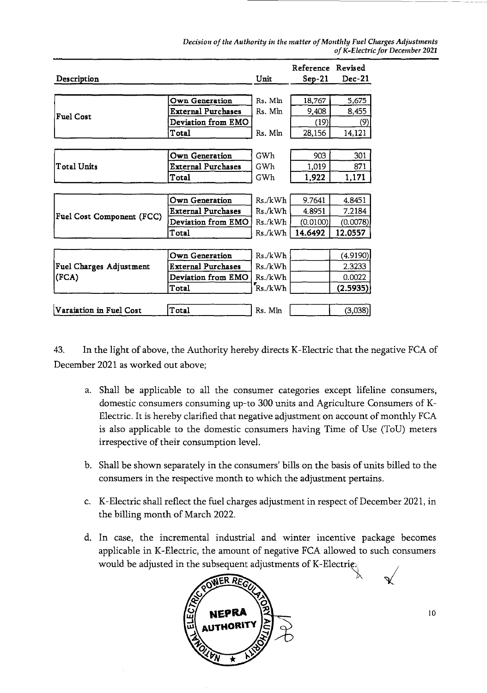*Decision of the Authority in the matter of Monthly Fuel Charges Adjustments of K-Electric for December 2021* 

| Description                    |                           | Unit    | Reference Revised<br>$Sep-21$ | Dec-21   |
|--------------------------------|---------------------------|---------|-------------------------------|----------|
|                                |                           |         |                               |          |
|                                | Own Generation            | Rs. Mln | 18,767                        | 5,675    |
| <b>Fuel Cost</b>               | <b>External Purchases</b> | Rs. Mln | 9,408                         | 8,455    |
|                                | Deviation from EMO        |         | (19)                          | (9)      |
|                                | Total                     | Rs. Mln | 28,156                        | 14,121   |
|                                |                           |         |                               |          |
|                                | Own Generation            | GWh     | 903                           | 301      |
| <b>Total Units</b>             | <b>External Purchases</b> | GWh     | 1,019                         | 871      |
|                                | Total                     | GWh     | 1,922                         | 1,171    |
|                                |                           |         |                               |          |
|                                | Own Generation            | Rs./kWh | 9.7641                        | 4.8451   |
|                                | <b>External Purchases</b> | Rs./kWh | 4.8951                        | 7.2184   |
| Fuel Cost Component (FCC)      | Deviation from EMO        | Rs./kWh | (0.0100)                      | (0.0078) |
|                                | Total                     | Rs./kWh | 14.6492                       | 12.0557  |
|                                |                           |         |                               |          |
|                                | <b>Own Generation</b>     | Rs./kWh |                               | (4.9190) |
| <b>Fuel Charges Adjustment</b> | <b>External Purchases</b> | Rs./kWh |                               | 2.3233   |
| (FCA)                          | Deviation from EMO        | Rs./kWh |                               | 0.0022   |
|                                | Total                     | Rs./kWh |                               | (2.5935) |
|                                |                           |         |                               |          |
| Varaiation in Fuel Cost        | Total                     | Rs. Mln |                               | (3,038)  |

43. In the light of above, the Authority hereby directs K-Electric that the negative FCA of December 2021 as worked out above;

- a. Shall be applicable to all the consumer categories except lifeline consumers, domestic consumers consuming up-to 300 units and Agriculture Consumers of K-Electric. It is hereby clarified that negative adjustment on account of monthly FCA is also applicable to the domestic consumers having Time of Use (ToU) meters irrespective of their consumption level.
- b. Shall be shown separately in the consumers' bills on the basis of units billed to the consumers in the respective month to which the adjustment pertains.
- c. K-Electric shall reflect the fuel charges adjustment in respect of December 2021, in the billing month of March 2022.
- d. In case, the incremental industrial and winter incentive package becomes applicable in K-Electric, the amount of negative FCA allowed to such consumers would be adjusted in the subsequent adjustments of K-Electrie.



*10*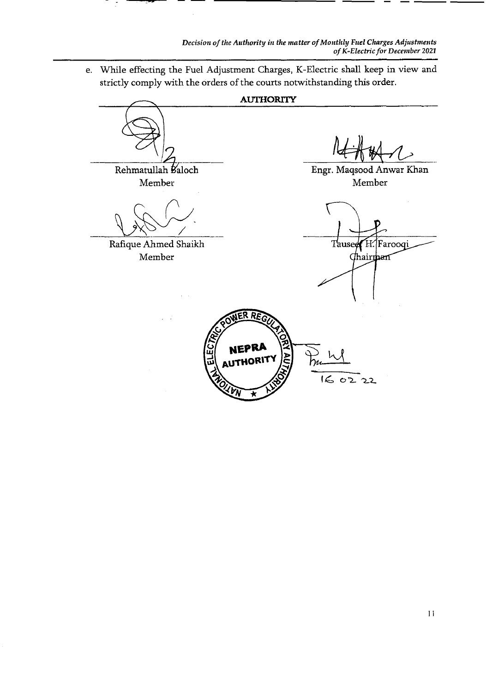e. 'While effecting the Fuel Adjustment Charges, K-Electric shall keep in view and strictly comply with the orders of the courts notwithstanding this order.

**AUTHORiTY**  Rehmatullah Baloch Engr. Maqsood Anwar Khan Member Member Rafique Ahmed Shaikh Tauseer H. Farooqi Member Chair<del>t</del>han ER REG **NEPRA** <sup>U</sup>**AUTh°"**  *FR*  $\overline{6}$ 0222